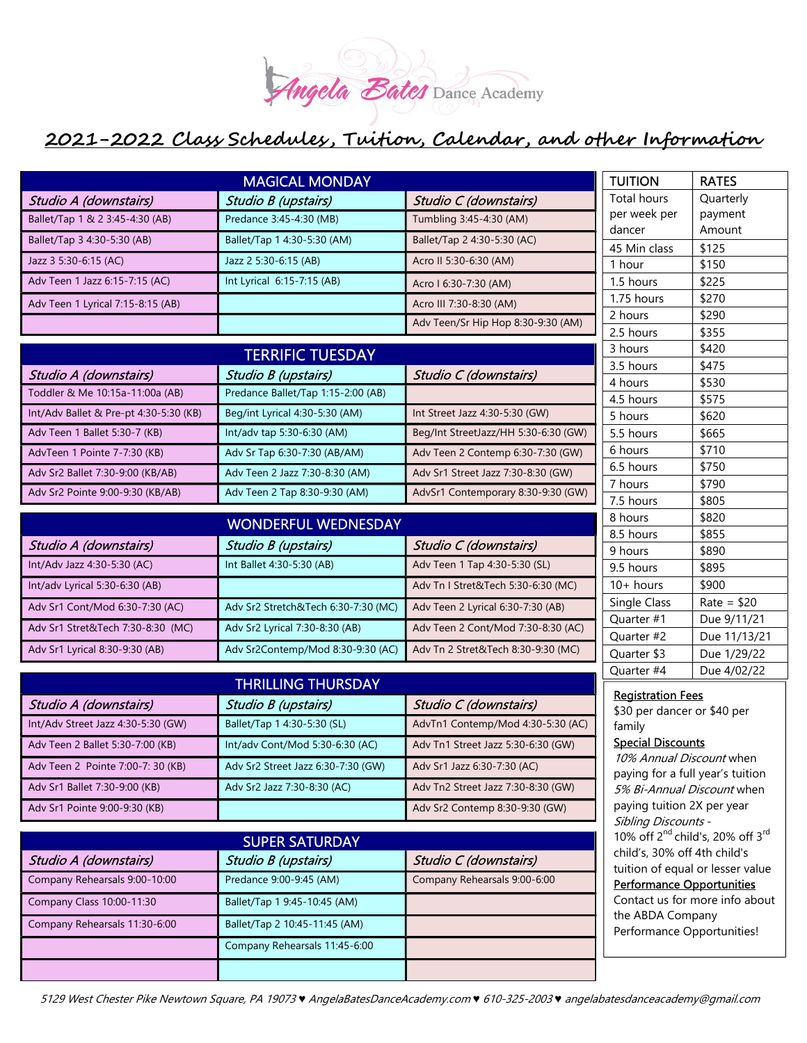

| <b>MAGICAL MONDAY</b>                  |                                                                              |                                      | <b>TUITION</b>                                                                                                                                                                              | <b>RATES</b>                |
|----------------------------------------|------------------------------------------------------------------------------|--------------------------------------|---------------------------------------------------------------------------------------------------------------------------------------------------------------------------------------------|-----------------------------|
| Studio A (downstairs)                  | <b>Studio B (upstairs)</b>                                                   | Studio C (downstairs)                | <b>Total hours</b>                                                                                                                                                                          | Quarterly                   |
| Ballet/Tap 1 & 2 3:45-4:30 (AB)        | Predance 3:45-4:30 (MB)                                                      | Tumbling 3:45-4:30 (AM)              | per week per<br>dancer                                                                                                                                                                      | payment<br>Amount           |
| Ballet/Tap 3 4:30-5:30 (AB)            | Ballet/Tap 1 4:30-5:30 (AM)                                                  | Ballet/Tap 2 4:30-5:30 (AC)          | 45 Min class                                                                                                                                                                                | \$125                       |
| Jazz 3 5:30-6:15 (AC)                  | Jazz 2 5:30-6:15 (AB)                                                        | Acro II 5:30-6:30 (AM)               | 1 hour                                                                                                                                                                                      | \$150                       |
| Adv Teen 1 Jazz 6:15-7:15 (AC)         | Int Lyrical 6:15-7:15 (AB)                                                   | Acro I 6:30-7:30 (AM)                | 1.5 hours                                                                                                                                                                                   | \$225                       |
| Adv Teen 1 Lyrical 7:15-8:15 (AB)      |                                                                              | Acro III 7:30-8:30 (AM)              | 1.75 hours                                                                                                                                                                                  | \$270                       |
|                                        |                                                                              | Adv Teen/Sr Hip Hop 8:30-9:30 (AM)   | 2 hours                                                                                                                                                                                     | \$290                       |
|                                        |                                                                              |                                      | 2.5 hours                                                                                                                                                                                   | \$355                       |
| <b>TERRIFIC TUESDAY</b>                |                                                                              |                                      | 3 hours                                                                                                                                                                                     | \$420                       |
| Studio A (downstairs)                  | Studio B (upstairs)                                                          | Studio C (downstairs)                | 3.5 hours<br>4 hours                                                                                                                                                                        | \$475<br>\$530              |
| Toddler & Me 10:15a-11:00a (AB)        | Predance Ballet/Tap 1:15-2:00 (AB)                                           |                                      | 4.5 hours                                                                                                                                                                                   | \$575                       |
| Int/Adv Ballet & Pre-pt 4:30-5:30 (KB) | Beg/int Lyrical 4:30-5:30 (AM)                                               | Int Street Jazz 4:30-5:30 (GW)       | 5 hours                                                                                                                                                                                     | \$620                       |
| Adv Teen 1 Ballet 5:30-7 (KB)          | Int/adv tap 5:30-6:30 (AM)                                                   | Beg/Int StreetJazz/HH 5:30-6:30 (GW) | 5.5 hours                                                                                                                                                                                   | \$665                       |
| AdvTeen 1 Pointe 7-7:30 (KB)           | Adv Sr Tap 6:30-7:30 (AB/AM)                                                 | Adv Teen 2 Contemp 6:30-7:30 (GW)    | 6 hours                                                                                                                                                                                     | \$710                       |
| Adv Sr2 Ballet 7:30-9:00 (KB/AB)       | Adv Teen 2 Jazz 7:30-8:30 (AM)                                               | Adv Sr1 Street Jazz 7:30-8:30 (GW)   | 6.5 hours                                                                                                                                                                                   | \$750                       |
| Adv Sr2 Pointe 9:00-9:30 (KB/AB)       | Adv Teen 2 Tap 8:30-9:30 (AM)                                                | AdvSr1 Contemporary 8:30-9:30 (GW)   | 7 hours                                                                                                                                                                                     | \$790                       |
|                                        |                                                                              |                                      | 7.5 hours                                                                                                                                                                                   | \$805                       |
|                                        | <b>WONDERFUL WEDNESDAY</b>                                                   |                                      | 8 hours<br>8.5 hours                                                                                                                                                                        | \$820<br>\$855              |
| Studio A (downstairs)                  | Studio B (upstairs)                                                          | Studio C (downstairs)                | 9 hours                                                                                                                                                                                     | \$890                       |
| Int/Adv Jazz 4:30-5:30 (AC)            | Int Ballet 4:30-5:30 (AB)                                                    | Adv Teen 1 Tap 4:30-5:30 (SL)        | 9.5 hours                                                                                                                                                                                   | \$895                       |
| Int/adv Lyrical 5:30-6:30 (AB)         |                                                                              | Adv Tn I Stret&Tech 5:30-6:30 (MC)   | $10+$ hours                                                                                                                                                                                 | \$900                       |
| Adv Sr1 Cont/Mod 6:30-7:30 (AC)        | Adv Sr2 Stretch&Tech 6:30-7:30 (MC)                                          | Adv Teen 2 Lyrical 6:30-7:30 (AB)    | Single Class                                                                                                                                                                                | $Rate = $20$                |
| Adv Sr1 Stret&Tech 7:30-8:30 (MC)      | Adv Sr2 Lyrical 7:30-8:30 (AB)                                               | Adv Teen 2 Cont/Mod 7:30-8:30 (AC)   | Quarter #1                                                                                                                                                                                  | Due 9/11/21                 |
| Adv Sr1 Lyrical 8:30-9:30 (AB)         | Adv Sr2Contemp/Mod 8:30-9:30 (AC)                                            | Adv Tn 2 Stret&Tech 8:30-9:30 (MC)   | Quarter #2<br>Quarter \$3                                                                                                                                                                   | Due 11/13/21<br>Due 1/29/22 |
|                                        |                                                                              |                                      | Quarter #4                                                                                                                                                                                  | Due 4/02/22                 |
| <b>THRILLING THURSDAY</b>              |                                                                              |                                      |                                                                                                                                                                                             |                             |
| Studio A (downstairs)                  | Studio B (upstairs)                                                          | Studio C (downstairs)                | <b>Registration Fees</b><br>\$30 per dancer or \$40 per<br>family<br><b>Special Discounts</b><br>10% Annual Discount when<br>paying for a full year's tuition<br>5% Bi-Annual Discount when |                             |
| Int/Adv Street Jazz 4:30-5:30 (GW)     | Ballet/Tap 1 4:30-5:30 (SL)                                                  | AdvTn1 Contemp/Mod 4:30-5:30 (AC)    |                                                                                                                                                                                             |                             |
| Adv Teen 2 Ballet 5:30-7:00 (KB)       | Int/adv Cont/Mod 5:30-6:30 (AC)                                              | Adv Tn1 Street Jazz 5:30-6:30 (GW)   |                                                                                                                                                                                             |                             |
| Adv Teen 2 Pointe 7:00-7: 30 (KB)      | Adv Sr2 Street Jazz 6:30-7:30 (GW)                                           | Adv Sr1 Jazz 6:30-7:30 (AC)          |                                                                                                                                                                                             |                             |
| Adv Sr1 Ballet 7:30-9:00 (KB)          | Adv Sr2 Jazz 7:30-8:30 (AC)                                                  | Adv Tn2 Street Jazz 7:30-8:30 (GW)   |                                                                                                                                                                                             |                             |
| Adv Sr1 Pointe 9:00-9:30 (KB)          |                                                                              | Adv Sr2 Contemp 8:30-9:30 (GW)       | paying tuition 2X per year<br>Sibling Discounts -                                                                                                                                           |                             |
| <b>SUPER SATURDAY</b>                  |                                                                              |                                      | 10% off 2 <sup>nd</sup> child's, 20% off 3 <sup>rd</sup>                                                                                                                                    |                             |
| Studio A (downstairs)                  | child's, 30% off 4th child's<br>Studio B (upstairs)<br>Studio C (downstairs) |                                      |                                                                                                                                                                                             |                             |
| Company Rehearsals 9:00-10:00          | Predance 9:00-9:45 (AM)                                                      | Company Rehearsals 9:00-6:00         | tuition of equal or lesser value                                                                                                                                                            |                             |
|                                        |                                                                              |                                      | <b>Performance Opportunities</b>                                                                                                                                                            |                             |
| Company Class 10:00-11:30              | Ballet/Tap 1 9:45-10:45 (AM)                                                 |                                      | Contact us for more info about<br>the ABDA Company                                                                                                                                          |                             |
| Company Rehearsals 11:30-6:00          | Ballet/Tap 2 10:45-11:45 (AM)                                                |                                      | Performance Opportunities!                                                                                                                                                                  |                             |
|                                        | Company Rehearsals 11:45-6:00                                                |                                      |                                                                                                                                                                                             |                             |
|                                        |                                                                              |                                      |                                                                                                                                                                                             |                             |

5129 West Chester Pike Newtown Square, PA 19073 ♥ AngelaBatesDanceAcademy.com ♥ 610-325-2003 ♥ angelabatesdanceacademy@gmail.com